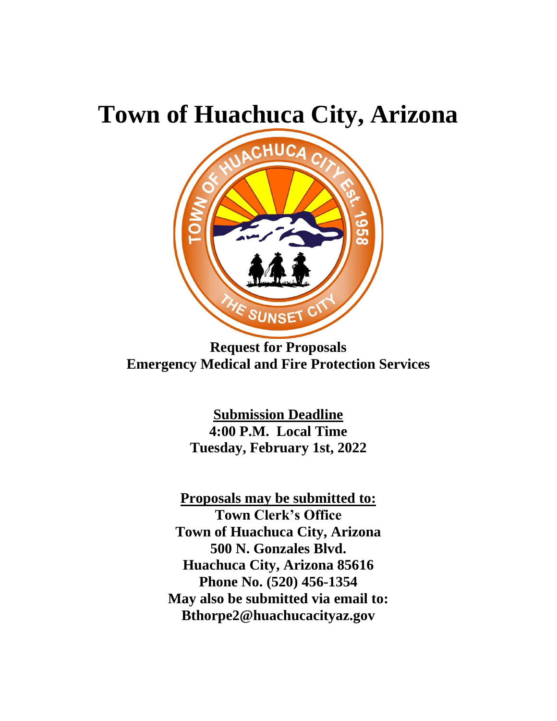# **Town of Huachuca City, Arizona**



**Request for Proposals Emergency Medical and Fire Protection Services**

**Submission Deadline 4:00 P.M. Local Time Tuesday, February 1st, 2022**

**Proposals may be submitted to: Town Clerk's Office Town of Huachuca City, Arizona 500 N. Gonzales Blvd. Huachuca City, Arizona 85616 Phone No. (520) 456-1354 May also be submitted via email to: Bthorpe2@huachucacityaz.gov**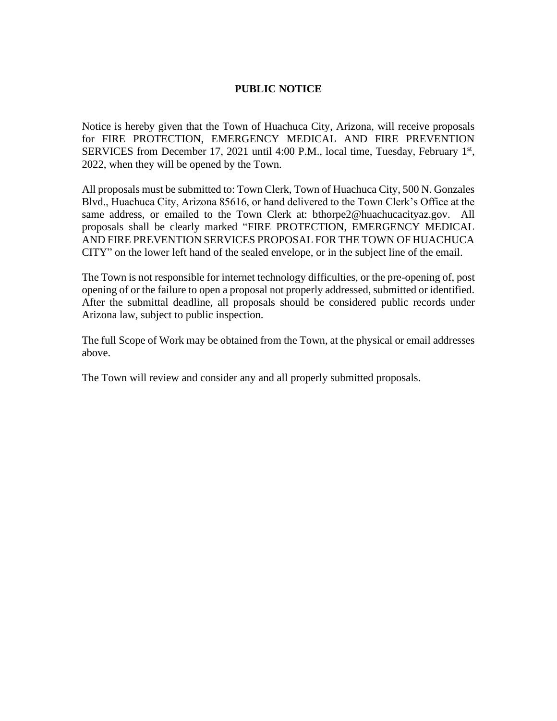#### **PUBLIC NOTICE**

Notice is hereby given that the Town of Huachuca City, Arizona, will receive proposals for FIRE PROTECTION, EMERGENCY MEDICAL AND FIRE PREVENTION SERVICES from December 17, 2021 until 4:00 P.M., local time, Tuesday, February 1<sup>st</sup>, 2022, when they will be opened by the Town.

All proposals must be submitted to: Town Clerk, Town of Huachuca City, 500 N. Gonzales Blvd., Huachuca City, Arizona 85616, or hand delivered to the Town Clerk's Office at the same address, or emailed to the Town Clerk at: bthorpe2@huachucacityaz.gov. All proposals shall be clearly marked "FIRE PROTECTION, EMERGENCY MEDICAL AND FIRE PREVENTION SERVICES PROPOSAL FOR THE TOWN OF HUACHUCA CITY" on the lower left hand of the sealed envelope, or in the subject line of the email.

The Town is not responsible for internet technology difficulties, or the pre-opening of, post opening of or the failure to open a proposal not properly addressed, submitted or identified. After the submittal deadline, all proposals should be considered public records under Arizona law, subject to public inspection.

The full Scope of Work may be obtained from the Town, at the physical or email addresses above.

The Town will review and consider any and all properly submitted proposals.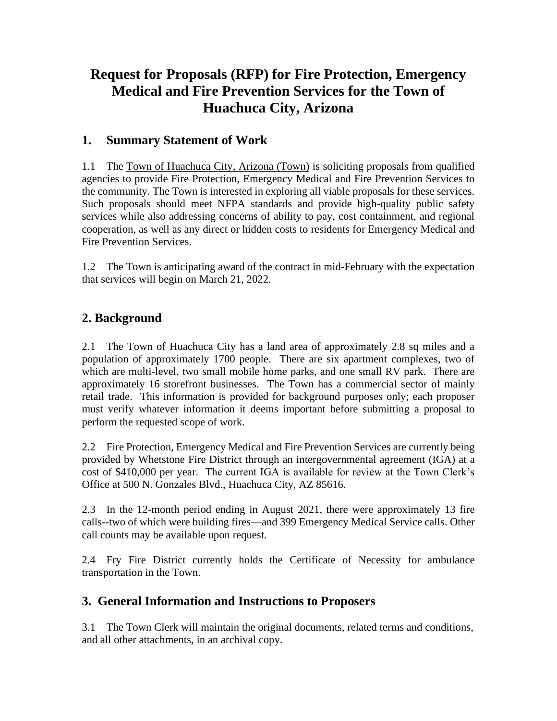## **Request for Proposals (RFP) for Fire Protection, Emergency Medical and Fire Prevention Services for the Town of Huachuca City, Arizona**

## **1. Summary Statement of Work**

1.1 The Town of Huachuca City, Arizona (Town) is soliciting proposals from qualified agencies to provide Fire Protection, Emergency Medical and Fire Prevention Services to the community. The Town is interested in exploring all viable proposals for these services. Such proposals should meet NFPA standards and provide high-quality public safety services while also addressing concerns of ability to pay, cost containment, and regional cooperation, as well as any direct or hidden costs to residents for Emergency Medical and Fire Prevention Services.

1.2 The Town is anticipating award of the contract in mid-February with the expectation that services will begin on March 21, 2022.

## **2. Background**

2.1 The Town of Huachuca City has a land area of approximately 2.8 sq miles and a population of approximately 1700 people. There are six apartment complexes, two of which are multi-level, two small mobile home parks, and one small RV park. There are approximately 16 storefront businesses. The Town has a commercial sector of mainly retail trade. This information is provided for background purposes only; each proposer must verify whatever information it deems important before submitting a proposal to perform the requested scope of work.

2.2 Fire Protection, Emergency Medical and Fire Prevention Services are currently being provided by Whetstone Fire District through an intergovernmental agreement (IGA) at a cost of \$410,000 per year. The current IGA is available for review at the Town Clerk's Office at 500 N. Gonzales Blvd., Huachuca City, AZ 85616.

2.3 In the 12-month period ending in August 2021, there were approximately 13 fire calls--two of which were building fires—and 399 Emergency Medical Service calls. Other call counts may be available upon request.

2.4 Fry Fire District currently holds the Certificate of Necessity for ambulance transportation in the Town.

## **3. General Information and Instructions to Proposers**

3.1 The Town Clerk will maintain the original documents, related terms and conditions, and all other attachments, in an archival copy.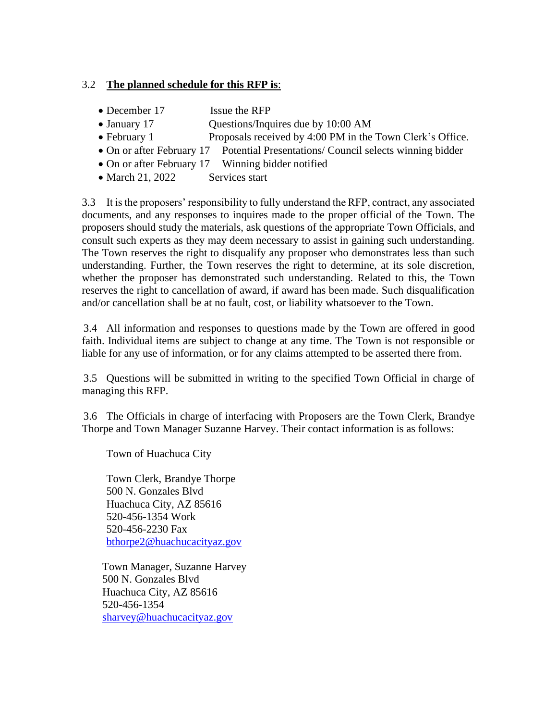#### 3.2 **The planned schedule for this RFP is**:

- December 17 Issue the RFP
- January 17 Questions/Inquires due by 10:00 AM
- February 1 Proposals received by 4:00 PM in the Town Clerk's Office.
- On or after February 17 Potential Presentations/ Council selects winning bidder
- On or after February 17 Winning bidder notified
- March 21, 2022 Services start

3.3 It is the proposers' responsibility to fully understand the RFP, contract, any associated documents, and any responses to inquires made to the proper official of the Town. The proposers should study the materials, ask questions of the appropriate Town Officials, and consult such experts as they may deem necessary to assist in gaining such understanding. The Town reserves the right to disqualify any proposer who demonstrates less than such understanding. Further, the Town reserves the right to determine, at its sole discretion, whether the proposer has demonstrated such understanding. Related to this, the Town reserves the right to cancellation of award, if award has been made. Such disqualification and/or cancellation shall be at no fault, cost, or liability whatsoever to the Town.

3.4 All information and responses to questions made by the Town are offered in good faith. Individual items are subject to change at any time. The Town is not responsible or liable for any use of information, or for any claims attempted to be asserted there from.

3.5 Questions will be submitted in writing to the specified Town Official in charge of managing this RFP.

3.6 The Officials in charge of interfacing with Proposers are the Town Clerk, Brandye Thorpe and Town Manager Suzanne Harvey. Their contact information is as follows:

Town of Huachuca City

Town Clerk, Brandye Thorpe 500 N. Gonzales Blvd Huachuca City, AZ 85616 520-456-1354 Work 520-456-2230 Fax [bthorpe2@huachucacityaz.gov](mailto:bthorpe2@huachucacityaz.gov) 

Town Manager, Suzanne Harvey 500 N. Gonzales Blvd Huachuca City, AZ 85616 520-456-1354 [sharvey@huachucacityaz.gov](mailto:sharvey@huachucacityaz.gov)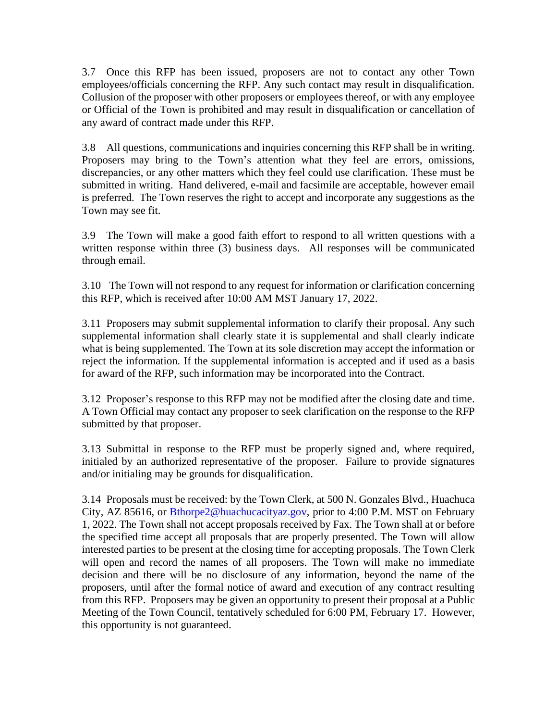3.7 Once this RFP has been issued, proposers are not to contact any other Town employees/officials concerning the RFP. Any such contact may result in disqualification. Collusion of the proposer with other proposers or employees thereof, or with any employee or Official of the Town is prohibited and may result in disqualification or cancellation of any award of contract made under this RFP.

3.8 All questions, communications and inquiries concerning this RFP shall be in writing. Proposers may bring to the Town's attention what they feel are errors, omissions, discrepancies, or any other matters which they feel could use clarification. These must be submitted in writing. Hand delivered, e-mail and facsimile are acceptable, however email is preferred. The Town reserves the right to accept and incorporate any suggestions as the Town may see fit.

3.9 The Town will make a good faith effort to respond to all written questions with a written response within three (3) business days. All responses will be communicated through email.

3.10 The Town will not respond to any request for information or clarification concerning this RFP, which is received after 10:00 AM MST January 17, 2022.

3.11 Proposers may submit supplemental information to clarify their proposal. Any such supplemental information shall clearly state it is supplemental and shall clearly indicate what is being supplemented. The Town at its sole discretion may accept the information or reject the information. If the supplemental information is accepted and if used as a basis for award of the RFP, such information may be incorporated into the Contract.

3.12 Proposer's response to this RFP may not be modified after the closing date and time. A Town Official may contact any proposer to seek clarification on the response to the RFP submitted by that proposer.

3.13 Submittal in response to the RFP must be properly signed and, where required, initialed by an authorized representative of the proposer. Failure to provide signatures and/or initialing may be grounds for disqualification.

3.14 Proposals must be received: by the Town Clerk, at 500 N. Gonzales Blvd., Huachuca City, AZ 85616, or **Bthorpe2@huachucacityaz.gov**, prior to 4:00 P.M. MST on February 1, 2022. The Town shall not accept proposals received by Fax. The Town shall at or before the specified time accept all proposals that are properly presented. The Town will allow interested parties to be present at the closing time for accepting proposals. The Town Clerk will open and record the names of all proposers. The Town will make no immediate decision and there will be no disclosure of any information, beyond the name of the proposers, until after the formal notice of award and execution of any contract resulting from this RFP. Proposers may be given an opportunity to present their proposal at a Public Meeting of the Town Council, tentatively scheduled for 6:00 PM, February 17. However, this opportunity is not guaranteed.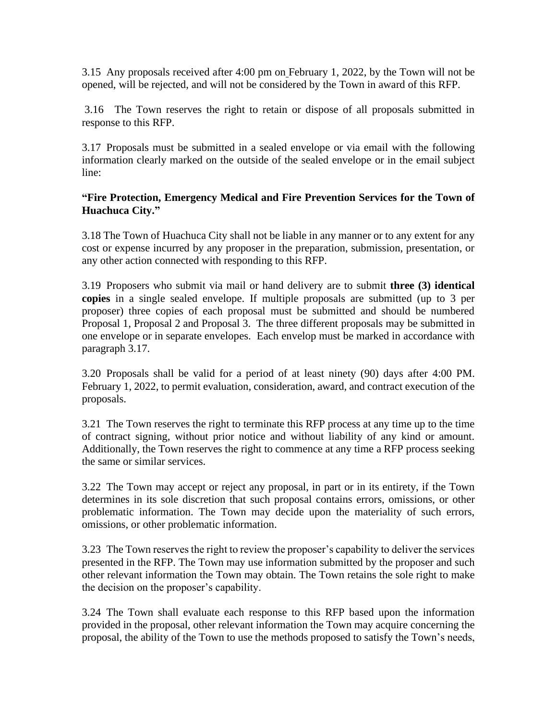3.15 Any proposals received after 4:00 pm on February 1, 2022, by the Town will not be opened, will be rejected, and will not be considered by the Town in award of this RFP.

3.16 The Town reserves the right to retain or dispose of all proposals submitted in response to this RFP.

3.17 Proposals must be submitted in a sealed envelope or via email with the following information clearly marked on the outside of the sealed envelope or in the email subject line:

#### **"Fire Protection, Emergency Medical and Fire Prevention Services for the Town of Huachuca City."**

3.18 The Town of Huachuca City shall not be liable in any manner or to any extent for any cost or expense incurred by any proposer in the preparation, submission, presentation, or any other action connected with responding to this RFP.

3.19 Proposers who submit via mail or hand delivery are to submit **three (3) identical copies** in a single sealed envelope. If multiple proposals are submitted (up to 3 per proposer) three copies of each proposal must be submitted and should be numbered Proposal 1, Proposal 2 and Proposal 3. The three different proposals may be submitted in one envelope or in separate envelopes. Each envelop must be marked in accordance with paragraph 3.17.

3.20 Proposals shall be valid for a period of at least ninety (90) days after 4:00 PM. February 1, 2022, to permit evaluation, consideration, award, and contract execution of the proposals.

3.21 The Town reserves the right to terminate this RFP process at any time up to the time of contract signing, without prior notice and without liability of any kind or amount. Additionally, the Town reserves the right to commence at any time a RFP process seeking the same or similar services.

3.22 The Town may accept or reject any proposal, in part or in its entirety, if the Town determines in its sole discretion that such proposal contains errors, omissions, or other problematic information. The Town may decide upon the materiality of such errors, omissions, or other problematic information.

3.23 The Town reserves the right to review the proposer's capability to deliver the services presented in the RFP. The Town may use information submitted by the proposer and such other relevant information the Town may obtain. The Town retains the sole right to make the decision on the proposer's capability.

3.24 The Town shall evaluate each response to this RFP based upon the information provided in the proposal, other relevant information the Town may acquire concerning the proposal, the ability of the Town to use the methods proposed to satisfy the Town's needs,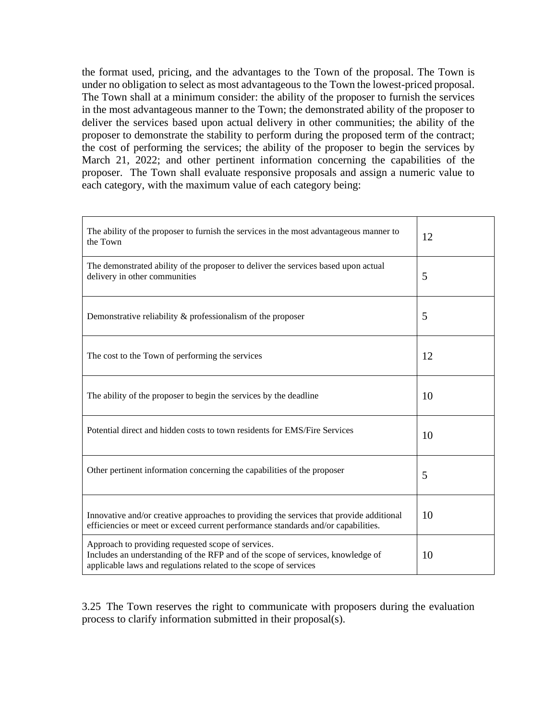the format used, pricing, and the advantages to the Town of the proposal. The Town is under no obligation to select as most advantageous to the Town the lowest-priced proposal. The Town shall at a minimum consider: the ability of the proposer to furnish the services in the most advantageous manner to the Town; the demonstrated ability of the proposer to deliver the services based upon actual delivery in other communities; the ability of the proposer to demonstrate the stability to perform during the proposed term of the contract; the cost of performing the services; the ability of the proposer to begin the services by March 21, 2022; and other pertinent information concerning the capabilities of the proposer. The Town shall evaluate responsive proposals and assign a numeric value to each category, with the maximum value of each category being:

| The ability of the proposer to furnish the services in the most advantageous manner to<br>the Town                                                                                                        | 12 |
|-----------------------------------------------------------------------------------------------------------------------------------------------------------------------------------------------------------|----|
| The demonstrated ability of the proposer to deliver the services based upon actual<br>delivery in other communities                                                                                       | 5  |
| Demonstrative reliability $\&$ professionalism of the proposer                                                                                                                                            | 5  |
| The cost to the Town of performing the services                                                                                                                                                           | 12 |
| The ability of the proposer to begin the services by the deadline                                                                                                                                         | 10 |
| Potential direct and hidden costs to town residents for EMS/Fire Services                                                                                                                                 | 10 |
| Other pertinent information concerning the capabilities of the proposer                                                                                                                                   | 5  |
| Innovative and/or creative approaches to providing the services that provide additional<br>efficiencies or meet or exceed current performance standards and/or capabilities.                              | 10 |
| Approach to providing requested scope of services.<br>Includes an understanding of the RFP and of the scope of services, knowledge of<br>applicable laws and regulations related to the scope of services | 10 |

3.25 The Town reserves the right to communicate with proposers during the evaluation process to clarify information submitted in their proposal(s).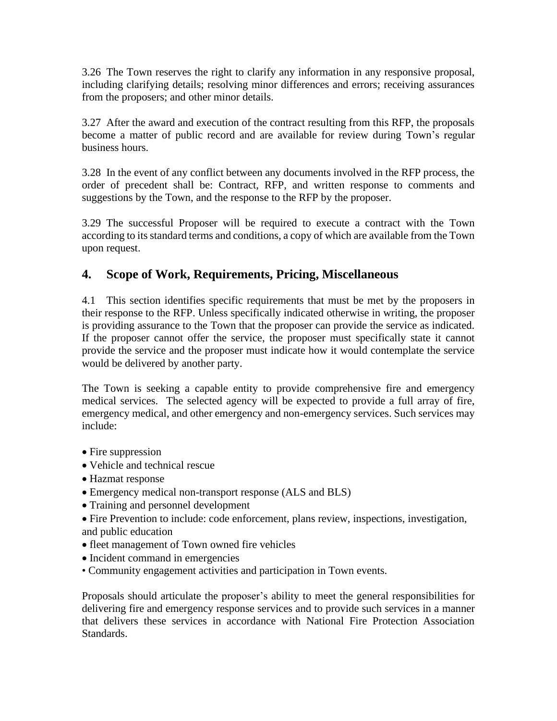3.26 The Town reserves the right to clarify any information in any responsive proposal, including clarifying details; resolving minor differences and errors; receiving assurances from the proposers; and other minor details.

3.27 After the award and execution of the contract resulting from this RFP, the proposals become a matter of public record and are available for review during Town's regular business hours.

3.28 In the event of any conflict between any documents involved in the RFP process, the order of precedent shall be: Contract, RFP, and written response to comments and suggestions by the Town, and the response to the RFP by the proposer.

3.29 The successful Proposer will be required to execute a contract with the Town according to its standard terms and conditions, a copy of which are available from the Town upon request.

## **4. Scope of Work, Requirements, Pricing, Miscellaneous**

4.1 This section identifies specific requirements that must be met by the proposers in their response to the RFP. Unless specifically indicated otherwise in writing, the proposer is providing assurance to the Town that the proposer can provide the service as indicated. If the proposer cannot offer the service, the proposer must specifically state it cannot provide the service and the proposer must indicate how it would contemplate the service would be delivered by another party.

The Town is seeking a capable entity to provide comprehensive fire and emergency medical services. The selected agency will be expected to provide a full array of fire, emergency medical, and other emergency and non-emergency services. Such services may include:

- Fire suppression
- Vehicle and technical rescue
- Hazmat response
- Emergency medical non-transport response (ALS and BLS)
- Training and personnel development
- Fire Prevention to include: code enforcement, plans review, inspections, investigation, and public education
- fleet management of Town owned fire vehicles
- Incident command in emergencies
- Community engagement activities and participation in Town events.

Proposals should articulate the proposer's ability to meet the general responsibilities for delivering fire and emergency response services and to provide such services in a manner that delivers these services in accordance with National Fire Protection Association Standards.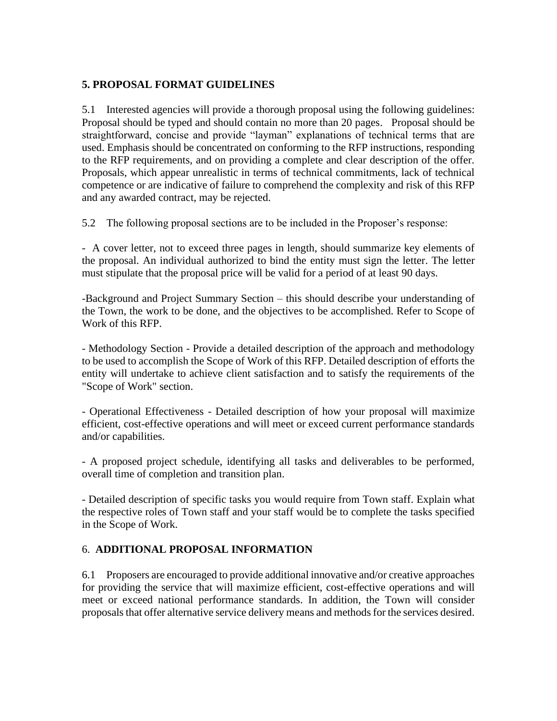#### **5. PROPOSAL FORMAT GUIDELINES**

5.1 Interested agencies will provide a thorough proposal using the following guidelines: Proposal should be typed and should contain no more than 20 pages. Proposal should be straightforward, concise and provide "layman" explanations of technical terms that are used. Emphasis should be concentrated on conforming to the RFP instructions, responding to the RFP requirements, and on providing a complete and clear description of the offer. Proposals, which appear unrealistic in terms of technical commitments, lack of technical competence or are indicative of failure to comprehend the complexity and risk of this RFP and any awarded contract, may be rejected.

5.2 The following proposal sections are to be included in the Proposer's response:

- A cover letter, not to exceed three pages in length, should summarize key elements of the proposal. An individual authorized to bind the entity must sign the letter. The letter must stipulate that the proposal price will be valid for a period of at least 90 days.

-Background and Project Summary Section – this should describe your understanding of the Town, the work to be done, and the objectives to be accomplished. Refer to Scope of Work of this RFP.

- Methodology Section - Provide a detailed description of the approach and methodology to be used to accomplish the Scope of Work of this RFP. Detailed description of efforts the entity will undertake to achieve client satisfaction and to satisfy the requirements of the "Scope of Work" section.

- Operational Effectiveness - Detailed description of how your proposal will maximize efficient, cost-effective operations and will meet or exceed current performance standards and/or capabilities.

- A proposed project schedule, identifying all tasks and deliverables to be performed, overall time of completion and transition plan.

- Detailed description of specific tasks you would require from Town staff. Explain what the respective roles of Town staff and your staff would be to complete the tasks specified in the Scope of Work.

#### 6. **ADDITIONAL PROPOSAL INFORMATION**

6.1 Proposers are encouraged to provide additional innovative and/or creative approaches for providing the service that will maximize efficient, cost-effective operations and will meet or exceed national performance standards. In addition, the Town will consider proposals that offer alternative service delivery means and methods for the services desired.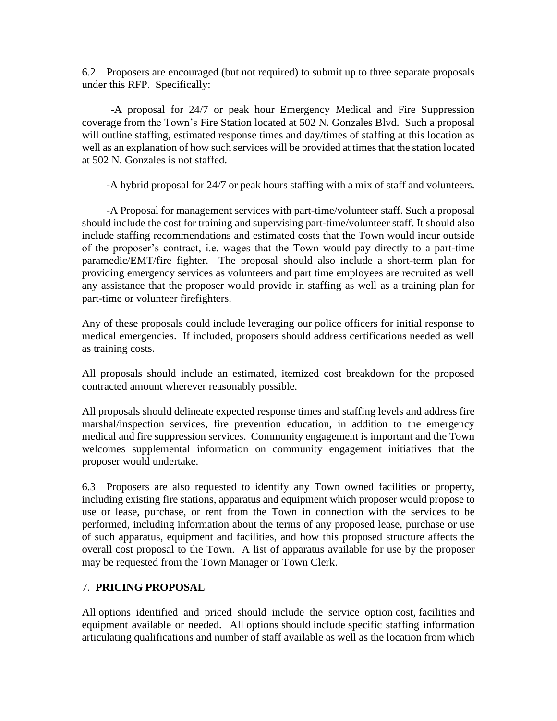6.2 Proposers are encouraged (but not required) to submit up to three separate proposals under this RFP. Specifically:

-A proposal for 24/7 or peak hour Emergency Medical and Fire Suppression coverage from the Town's Fire Station located at 502 N. Gonzales Blvd. Such a proposal will outline staffing, estimated response times and day/times of staffing at this location as well as an explanation of how such services will be provided at times that the station located at 502 N. Gonzales is not staffed.

-A hybrid proposal for 24/7 or peak hours staffing with a mix of staff and volunteers.

-A Proposal for management services with part-time/volunteer staff. Such a proposal should include the cost for training and supervising part-time/volunteer staff. It should also include staffing recommendations and estimated costs that the Town would incur outside of the proposer's contract, i.e. wages that the Town would pay directly to a part-time paramedic/EMT/fire fighter. The proposal should also include a short-term plan for providing emergency services as volunteers and part time employees are recruited as well any assistance that the proposer would provide in staffing as well as a training plan for part-time or volunteer firefighters.

Any of these proposals could include leveraging our police officers for initial response to medical emergencies. If included, proposers should address certifications needed as well as training costs.

All proposals should include an estimated, itemized cost breakdown for the proposed contracted amount wherever reasonably possible.

All proposals should delineate expected response times and staffing levels and address fire marshal/inspection services, fire prevention education, in addition to the emergency medical and fire suppression services. Community engagement is important and the Town welcomes supplemental information on community engagement initiatives that the proposer would undertake.

6.3 Proposers are also requested to identify any Town owned facilities or property, including existing fire stations, apparatus and equipment which proposer would propose to use or lease, purchase, or rent from the Town in connection with the services to be performed, including information about the terms of any proposed lease, purchase or use of such apparatus, equipment and facilities, and how this proposed structure affects the overall cost proposal to the Town. A list of apparatus available for use by the proposer may be requested from the Town Manager or Town Clerk.

#### 7. **PRICING PROPOSAL**

All options identified and priced should include the service option cost, facilities and equipment available or needed. All options should include specific staffing information articulating qualifications and number of staff available as well as the location from which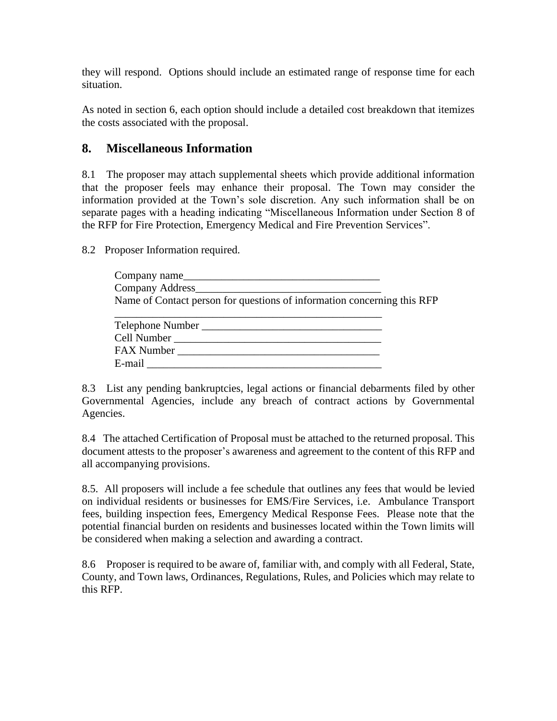they will respond. Options should include an estimated range of response time for each situation.

As noted in section 6, each option should include a detailed cost breakdown that itemizes the costs associated with the proposal.

### **8. Miscellaneous Information**

8.1 The proposer may attach supplemental sheets which provide additional information that the proposer feels may enhance their proposal. The Town may consider the information provided at the Town's sole discretion. Any such information shall be on separate pages with a heading indicating "Miscellaneous Information under Section 8 of the RFP for Fire Protection, Emergency Medical and Fire Prevention Services".

8.2 Proposer Information required.

| Company name                                                            |
|-------------------------------------------------------------------------|
| Company Address                                                         |
| Name of Contact person for questions of information concerning this RFP |
|                                                                         |

| Telephone Number |
|------------------|
| Cell Number      |
| FAX Number       |
| E-mail           |

8.3 List any pending bankruptcies, legal actions or financial debarments filed by other Governmental Agencies, include any breach of contract actions by Governmental Agencies.

8.4 The attached Certification of Proposal must be attached to the returned proposal. This document attests to the proposer's awareness and agreement to the content of this RFP and all accompanying provisions.

8.5. All proposers will include a fee schedule that outlines any fees that would be levied on individual residents or businesses for EMS/Fire Services, i.e. Ambulance Transport fees, building inspection fees, Emergency Medical Response Fees. Please note that the potential financial burden on residents and businesses located within the Town limits will be considered when making a selection and awarding a contract.

8.6 Proposer is required to be aware of, familiar with, and comply with all Federal, State, County, and Town laws, Ordinances, Regulations, Rules, and Policies which may relate to this RFP.